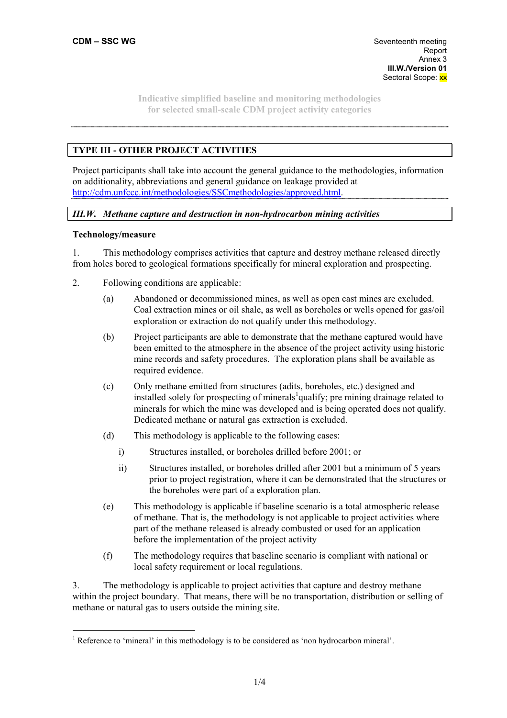# **TYPE III - OTHER PROJECT ACTIVITIES**

Project participants shall take into account the general guidance to the methodologies, information on additionality, abbreviations and general guidance on leakage provided at http://cdm.unfccc.int/methodologies/SSCmethodologies/approved.html.

# *III.W. Methane capture and destruction in non-hydrocarbon mining activities*

#### **Technology/measure**

 $\overline{a}$ 

1. This methodology comprises activities that capture and destroy methane released directly from holes bored to geological formations specifically for mineral exploration and prospecting.

- 2. Following conditions are applicable:
	- (a) Abandoned or decommissioned mines, as well as open cast mines are excluded. Coal extraction mines or oil shale, as well as boreholes or wells opened for gas/oil exploration or extraction do not qualify under this methodology.
	- (b) Project participants are able to demonstrate that the methane captured would have been emitted to the atmosphere in the absence of the project activity using historic mine records and safety procedures. The exploration plans shall be available as required evidence.
	- (c) Only methane emitted from structures (adits, boreholes, etc.) designed and installed solely for prospecting of minerals<sup>1</sup>qualify; pre mining drainage related to minerals for which the mine was developed and is being operated does not qualify. Dedicated methane or natural gas extraction is excluded.
	- (d) This methodology is applicable to the following cases:
		- i) Structures installed, or boreholes drilled before 2001; or
		- ii) Structures installed, or boreholes drilled after 2001 but a minimum of 5 years prior to project registration, where it can be demonstrated that the structures or the boreholes were part of a exploration plan.
	- (e) This methodology is applicable if baseline scenario is a total atmospheric release of methane. That is, the methodology is not applicable to project activities where part of the methane released is already combusted or used for an application before the implementation of the project activity
	- (f) The methodology requires that baseline scenario is compliant with national or local safety requirement or local regulations.

3. The methodology is applicable to project activities that capture and destroy methane within the project boundary. That means, there will be no transportation, distribution or selling of methane or natural gas to users outside the mining site.

<sup>&</sup>lt;sup>1</sup> Reference to 'mineral' in this methodology is to be considered as 'non hydrocarbon mineral'.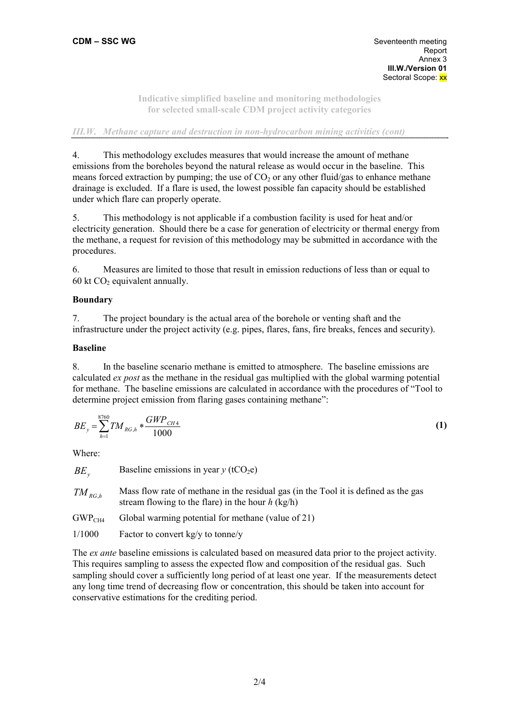#### *III.W.* Methane capture and destruction in non-hydrocarbon mining activities (cont)

4. This methodology excludes measures that would increase the amount of methane emissions from the boreholes beyond the natural release as would occur in the baseline. This means forced extraction by pumping; the use of  $CO<sub>2</sub>$  or any other fluid/gas to enhance methane drainage is excluded. If a flare is used, the lowest possible fan capacity should be established under which flare can properly operate.

5. This methodology is not applicable if a combustion facility is used for heat and/or electricity generation. Should there be a case for generation of electricity or thermal energy from the methane, a request for revision of this methodology may be submitted in accordance with the procedures.

6. Measures are limited to those that result in emission reductions of less than or equal to 60 kt  $CO<sub>2</sub>$  equivalent annually.

# **Boundary**

7. The project boundary is the actual area of the borehole or venting shaft and the infrastructure under the project activity (e.g. pipes, flares, fans, fire breaks, fences and security).

# **Baseline**

8. In the baseline scenario methane is emitted to atmosphere. The baseline emissions are calculated *ex post* as the methane in the residual gas multiplied with the global warming potential for methane. The baseline emissions are calculated in accordance with the procedures of "Tool to determine project emission from flaring gases containing methane":

$$
BE_y = \sum_{h=1}^{8760} TM_{RG,h} * \frac{GWP_{CH4}}{1000}
$$
 (1)

Where:

$$
BE_y
$$
 Baseline emissions in year y (tCO<sub>2</sub>e)

- *TM RG*<sub>*h*</sub> Mass flow rate of methane in the residual gas (in the Tool it is defined as the gas stream flowing to the flare) in the hour *h* (kg/h)
- $GWP<sub>CH4</sub>$  Global warming potential for methane (value of 21)
- 1/1000 Factor to convert kg/y to tonne/y

The *ex ante* baseline emissions is calculated based on measured data prior to the project activity. This requires sampling to assess the expected flow and composition of the residual gas. Such sampling should cover a sufficiently long period of at least one year. If the measurements detect any long time trend of decreasing flow or concentration, this should be taken into account for conservative estimations for the crediting period.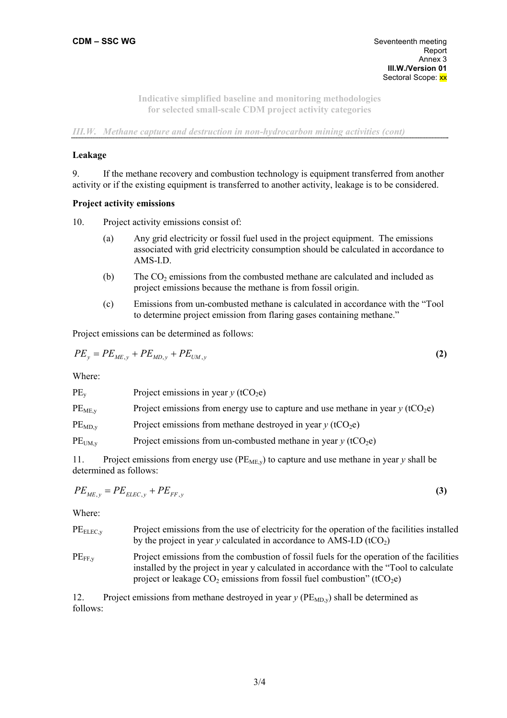*III.W. Methane capture and destruction in non-hydrocarbon mining activities (cont)* 

### **Leakage**

9. If the methane recovery and combustion technology is equipment transferred from another activity or if the existing equipment is transferred to another activity, leakage is to be considered.

# **Project activity emissions**

- 10. Project activity emissions consist of:
	- (a) Any grid electricity or fossil fuel used in the project equipment. The emissions associated with grid electricity consumption should be calculated in accordance to AMS-I.D.
	- (b) The  $CO<sub>2</sub>$  emissions from the combusted methane are calculated and included as project emissions because the methane is from fossil origin.
	- (c) Emissions from un-combusted methane is calculated in accordance with the "Tool to determine project emission from flaring gases containing methane."

Project emissions can be determined as follows:

$$
PE_{y} = PE_{ME,y} + PE_{MD,y} + PE_{UM,y}
$$
 (2)

Where:

| $PE_v$             | Project emissions in year $y$ (tCO <sub>2</sub> e)                                            |
|--------------------|-----------------------------------------------------------------------------------------------|
| PE <sub>ME,y</sub> | Project emissions from energy use to capture and use methane in year $y$ (tCO <sub>2</sub> e) |
| $PE_{MD,y}$        | Project emissions from methane destroyed in year $y$ (tCO <sub>2</sub> e)                     |
| $PE_{UM, v}$       | Project emissions from un-combusted methane in year $y$ (tCO <sub>2</sub> e)                  |

11. Project emissions from energy use  $(PE_{ME,y})$  to capture and use methane in year y shall be determined as follows:

$$
PE_{ME,y} = PE_{ELLC,y} + PE_{FF,y}
$$
\n
$$
\tag{3}
$$

Where:

| $PE_{ELEC, y}$ | Project emissions from the use of electricity for the operation of the facilities installed<br>by the project in year y calculated in accordance to AMS-I.D $(tCO2)$                                                                                                           |
|----------------|--------------------------------------------------------------------------------------------------------------------------------------------------------------------------------------------------------------------------------------------------------------------------------|
| $PE_{FF.v}$    | Project emissions from the combustion of fossil fuels for the operation of the facilities<br>installed by the project in year y calculated in accordance with the "Tool to calculate"<br>project or leakage $CO_2$ emissions from fossil fuel combustion" (tCO <sub>2</sub> e) |

12. Project emissions from methane destroyed in year  $\gamma$  (PE<sub>MD $v$ </sub>) shall be determined as follows: